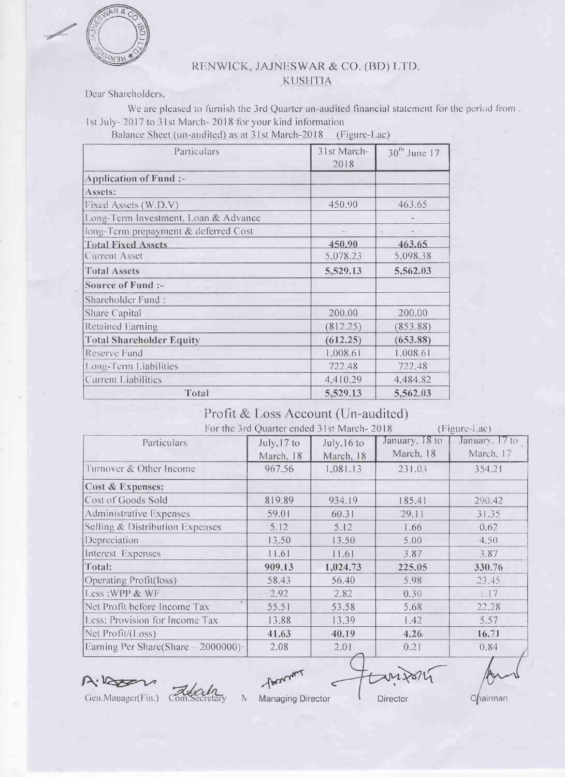

## RENWICK, JAJNESWAR & CO. (BD) LTD. **KUSHTIA**

Dear Shareholders,

We are pleased to furnish the 3rd Quarter un-audited financial statement for the period from. 1st July-2017 to 31st March-2018 for your kind information

Balance Sheet (un-audited) as at 31st March-2018 (Figure-Lac)

| Particulars                          | 31st March-<br>2018 | $30th$ June 17 |
|--------------------------------------|---------------------|----------------|
| Application of Fund :-               |                     |                |
| Assets:                              |                     |                |
| Fixed Assets (W.D.V)                 | 450.90              | 463.65         |
| Long-Term Investment, Loan & Advance |                     |                |
| long-Term prepayment & deferred Cost |                     |                |
| <b>Total Fixed Assets</b>            | 450.90              | 463.65         |
| <b>Current Asset</b>                 | 5,078.23            | 5,098.38       |
| <b>Total Assets</b>                  | 5,529.13            | 5,562.03       |
| Source of Fund :-                    |                     |                |
| Shareholder Fund:                    |                     |                |
| Share Capital                        | 200.00              | 200.00         |
| Retained Earning                     | (812.25)            | (853.88)       |
| <b>Total Shareholder Equity</b>      | (612.25)            | (653.88)       |
| Reserve Fund                         | 1,008.61            | 1.008.61       |
| Long-Term Liabilities                | 722.48              | 722.48         |
| <b>Current Liabilities</b>           | 4.410.29            | 4.484.82       |
| Total                                | 5,529.13            | 5,562.03       |

## Profit & Loss Account (Un-audited)

|  | For the 3rd Quarter ended 31st March-2018 |  |  |  |
|--|-------------------------------------------|--|--|--|

| The time and Quarter church and what the 2016<br>$(11201C-Ld)$<br>January, 18 to |             |             |           |                |
|----------------------------------------------------------------------------------|-------------|-------------|-----------|----------------|
| Particulars                                                                      | July, 17 to | July, 16 to |           | January. 17 to |
|                                                                                  | March, 18   | March, 18   | March, 18 | March. 17      |
| Turnover & Other Income                                                          | 967.56      | 1,081.13    | 231.03    | 354.21         |
| Cost & Expenses:                                                                 |             |             |           |                |
| Cost of Goods Sold                                                               | 819.89      | 934.19      | 185.41    | 290.42         |
| <b>Administrative Expenses</b>                                                   | 59.01       | 60.31       | 29.11     | 31.35          |
| Selling & Distribution Expenses                                                  | 5.12        | 5.12        | 1.66      | 0.62           |
| Depreciation                                                                     | 13.50       | 13.50       | 5.00      | 4.50           |
| Interest Expenses                                                                | 11.61       | 11.61       | 3.87      | 3.87           |
| Total:                                                                           | 909.13      | 1,024.73    | 225.05    | 330.76         |
| Operating Profit(loss)                                                           | 58.43       | 56.40       | 5.98      | 23.45          |
| Less: WPP & WF                                                                   | 2.92        | 2.82        | 0.30      | 1.17           |
| Net Profit before Income Tax                                                     | 55.51       | 53.58       | 5.68      | 22.28          |
| Less: Provision for Income Tax                                                   | 13.88       | 13.39       | 1.42      | 5.57           |
| Net Profit/(Loss)                                                                | 41.63       | 40.19       | 4.26.     | 16.71          |
| Earning Per Share(Share - 2000000)                                               | 2.08        | 2.01        | 0.21      | 0.84           |

A.Vasa

 $\mathbf{N}$ cretary

- Passaur Managing Director

Director

 $X$ M $X$ 

Chairman

 $(E_{\text{center}})$ 

Gen.Manager(Fin.) Com.